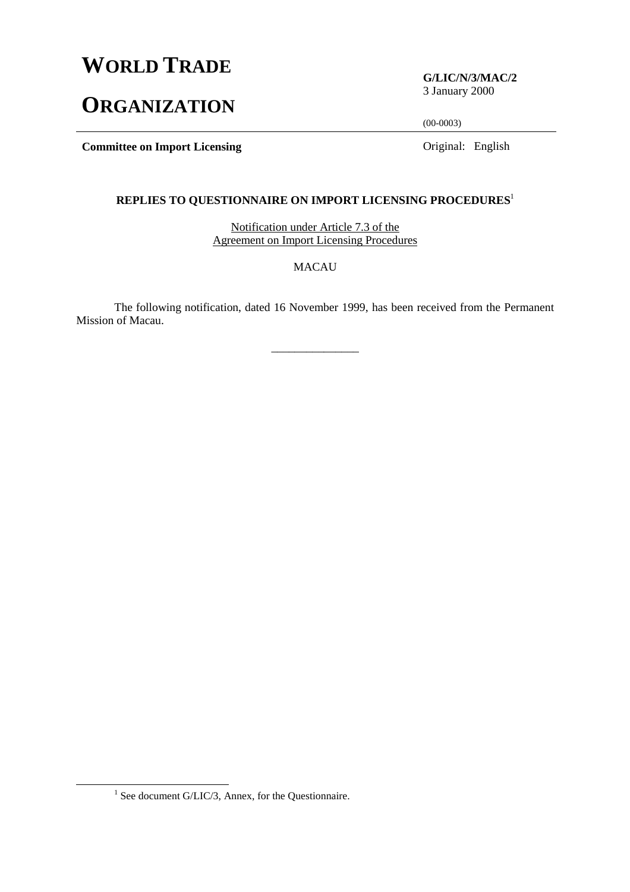# **WORLD TRADE**

# **ORGANIZATION**

**G/LIC/N/3/MAC/2** 3 January 2000

(00-0003)

**Committee on Import Licensing Committee on Import Licensing Committee on Import Licensing** 

## **REPLIES TO QUESTIONNAIRE ON IMPORT LICENSING PROCEDURES**<sup>1</sup>

Notification under Article 7.3 of the Agreement on Import Licensing Procedures

MACAU

The following notification, dated 16 November 1999, has been received from the Permanent Mission of Macau.

\_\_\_\_\_\_\_\_\_\_\_\_\_\_\_

<sup>&</sup>lt;u>1</u>  $1$  See document G/LIC/3, Annex, for the Questionnaire.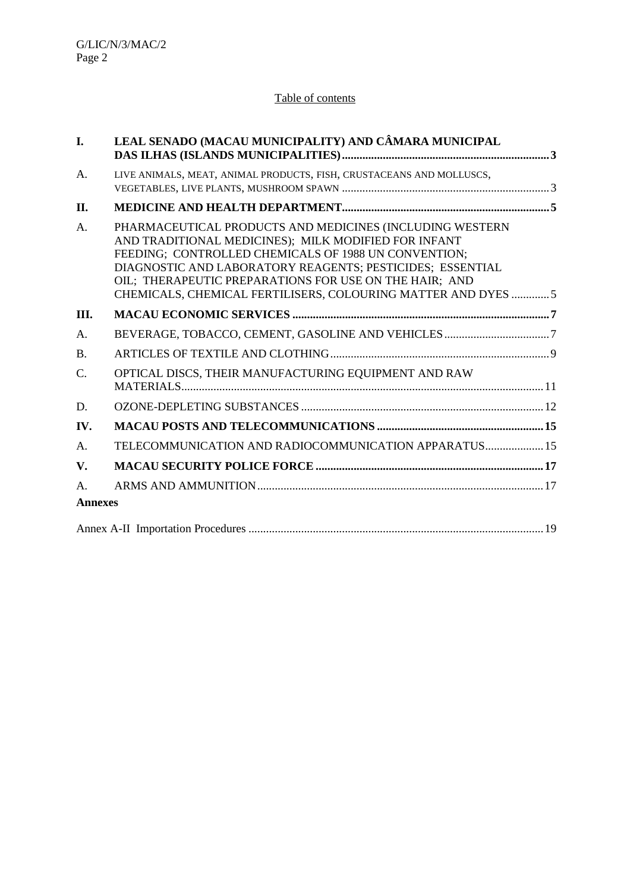## Table of contents

| I.             | LEAL SENADO (MACAU MUNICIPALITY) AND CÂMARA MUNICIPAL                                                                                                                                                                                                                                                                                                           |  |
|----------------|-----------------------------------------------------------------------------------------------------------------------------------------------------------------------------------------------------------------------------------------------------------------------------------------------------------------------------------------------------------------|--|
| A.             | LIVE ANIMALS, MEAT, ANIMAL PRODUCTS, FISH, CRUSTACEANS AND MOLLUSCS,                                                                                                                                                                                                                                                                                            |  |
| Π.             |                                                                                                                                                                                                                                                                                                                                                                 |  |
| A.             | PHARMACEUTICAL PRODUCTS AND MEDICINES (INCLUDING WESTERN<br>AND TRADITIONAL MEDICINES); MILK MODIFIED FOR INFANT<br>FEEDING; CONTROLLED CHEMICALS OF 1988 UN CONVENTION;<br>DIAGNOSTIC AND LABORATORY REAGENTS; PESTICIDES; ESSENTIAL<br>OIL; THERAPEUTIC PREPARATIONS FOR USE ON THE HAIR; AND<br>CHEMICALS, CHEMICAL FERTILISERS, COLOURING MATTER AND DYES 5 |  |
| III.           |                                                                                                                                                                                                                                                                                                                                                                 |  |
| A.             |                                                                                                                                                                                                                                                                                                                                                                 |  |
| <b>B.</b>      |                                                                                                                                                                                                                                                                                                                                                                 |  |
| C.             | OPTICAL DISCS, THEIR MANUFACTURING EQUIPMENT AND RAW                                                                                                                                                                                                                                                                                                            |  |
| D.             |                                                                                                                                                                                                                                                                                                                                                                 |  |
| IV.            |                                                                                                                                                                                                                                                                                                                                                                 |  |
| A.             | TELECOMMUNICATION AND RADIOCOMMUNICATION APPARATUS 15                                                                                                                                                                                                                                                                                                           |  |
| V.             |                                                                                                                                                                                                                                                                                                                                                                 |  |
| A.             |                                                                                                                                                                                                                                                                                                                                                                 |  |
| <b>Annexes</b> |                                                                                                                                                                                                                                                                                                                                                                 |  |
|                |                                                                                                                                                                                                                                                                                                                                                                 |  |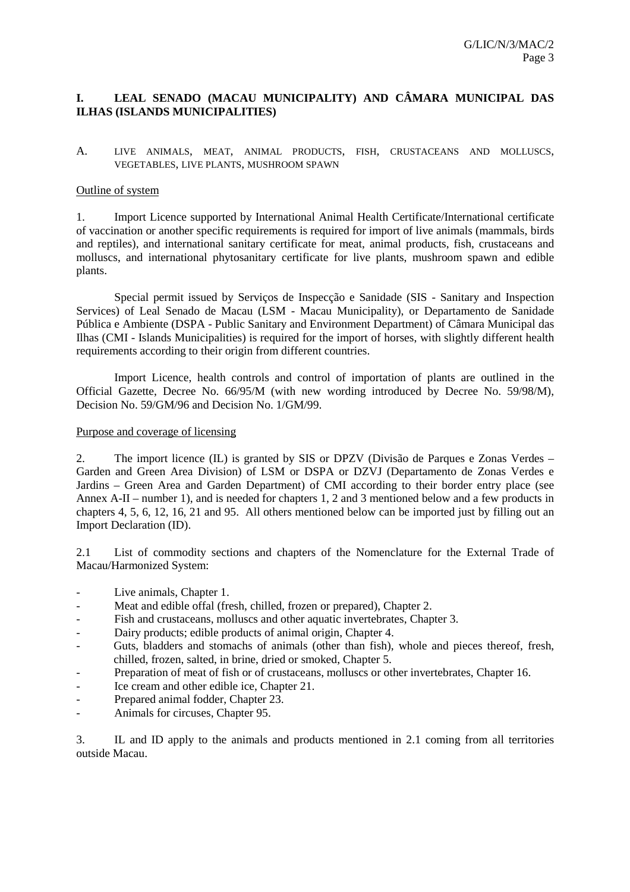## **I. LEAL SENADO (MACAU MUNICIPALITY) AND CÂMARA MUNICIPAL DAS ILHAS (ISLANDS MUNICIPALITIES)**

A. LIVE ANIMALS, MEAT, ANIMAL PRODUCTS, FISH, CRUSTACEANS AND MOLLUSCS, VEGETABLES, LIVE PLANTS, MUSHROOM SPAWN

#### Outline of system

1. Import Licence supported by International Animal Health Certificate/International certificate of vaccination or another specific requirements is required for import of live animals (mammals, birds and reptiles), and international sanitary certificate for meat, animal products, fish, crustaceans and molluscs, and international phytosanitary certificate for live plants, mushroom spawn and edible plants.

Special permit issued by Serviços de Inspecção e Sanidade (SIS - Sanitary and Inspection Services) of Leal Senado de Macau (LSM - Macau Municipality), or Departamento de Sanidade Pública e Ambiente (DSPA - Public Sanitary and Environment Department) of Câmara Municipal das Ilhas (CMI - Islands Municipalities) is required for the import of horses, with slightly different health requirements according to their origin from different countries.

Import Licence, health controls and control of importation of plants are outlined in the Official Gazette, Decree No. 66/95/M (with new wording introduced by Decree No. 59/98/M), Decision No. 59/GM/96 and Decision No. 1/GM/99.

#### Purpose and coverage of licensing

2. The import licence (IL) is granted by SIS or DPZV (Divisão de Parques e Zonas Verdes – Garden and Green Area Division) of LSM or DSPA or DZVJ (Departamento de Zonas Verdes e Jardins – Green Area and Garden Department) of CMI according to their border entry place (see Annex A-II – number 1), and is needed for chapters 1, 2 and 3 mentioned below and a few products in chapters 4, 5, 6, 12, 16, 21 and 95. All others mentioned below can be imported just by filling out an Import Declaration (ID).

2.1 List of commodity sections and chapters of the Nomenclature for the External Trade of Macau/Harmonized System:

- Live animals, Chapter 1.
- Meat and edible offal (fresh, chilled, frozen or prepared), Chapter 2.
- Fish and crustaceans, molluscs and other aquatic invertebrates, Chapter 3.
- Dairy products; edible products of animal origin, Chapter 4.
- Guts, bladders and stomachs of animals (other than fish), whole and pieces thereof, fresh, chilled, frozen, salted, in brine, dried or smoked, Chapter 5.
- Preparation of meat of fish or of crustaceans, molluscs or other invertebrates, Chapter 16.
- Ice cream and other edible ice, Chapter 21.
- Prepared animal fodder, Chapter 23.
- Animals for circuses, Chapter 95.

3. IL and ID apply to the animals and products mentioned in 2.1 coming from all territories outside Macau.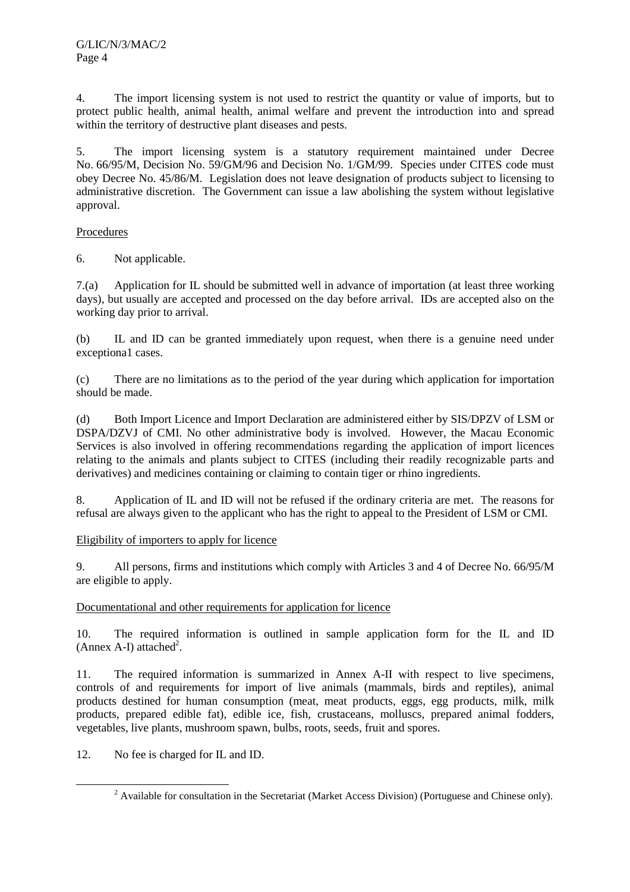4. The import licensing system is not used to restrict the quantity or value of imports, but to protect public health, animal health, animal welfare and prevent the introduction into and spread within the territory of destructive plant diseases and pests.

5. The import licensing system is a statutory requirement maintained under Decree No. 66/95/M, Decision No. 59/GM/96 and Decision No. 1/GM/99. Species under CITES code must obey Decree No. 45/86/M. Legislation does not leave designation of products subject to licensing to administrative discretion. The Government can issue a law abolishing the system without legislative approval.

## Procedures

6. Not applicable.

7.(a) Application for IL should be submitted well in advance of importation (at least three working days), but usually are accepted and processed on the day before arrival. IDs are accepted also on the working day prior to arrival.

(b) IL and ID can be granted immediately upon request, when there is a genuine need under exceptiona1 cases.

(c) There are no limitations as to the period of the year during which application for importation should be made.

(d) Both Import Licence and Import Declaration are administered either by SIS/DPZV of LSM or DSPA/DZVJ of CMI. No other administrative body is involved. However, the Macau Economic Services is also involved in offering recommendations regarding the application of import licences relating to the animals and plants subject to CITES (including their readily recognizable parts and derivatives) and medicines containing or claiming to contain tiger or rhino ingredients.

8. Application of IL and ID will not be refused if the ordinary criteria are met. The reasons for refusal are always given to the applicant who has the right to appeal to the President of LSM or CMI.

## Eligibility of importers to apply for licence

9. All persons, firms and institutions which comply with Articles 3 and 4 of Decree No. 66/95/M are eligible to apply.

## Documentational and other requirements for application for licence

10. The required information is outlined in sample application form for the IL and ID (Annex A-I) attached<sup>2</sup>.

11. The required information is summarized in Annex A-II with respect to live specimens, controls of and requirements for import of live animals (mammals, birds and reptiles), animal products destined for human consumption (meat, meat products, eggs, egg products, milk, milk products, prepared edible fat), edible ice, fish, crustaceans, molluscs, prepared animal fodders, vegetables, live plants, mushroom spawn, bulbs, roots, seeds, fruit and spores.

12. No fee is charged for IL and ID.

 $\overline{\phantom{a}}$ <sup>2</sup> Available for consultation in the Secretariat (Market Access Division) (Portuguese and Chinese only).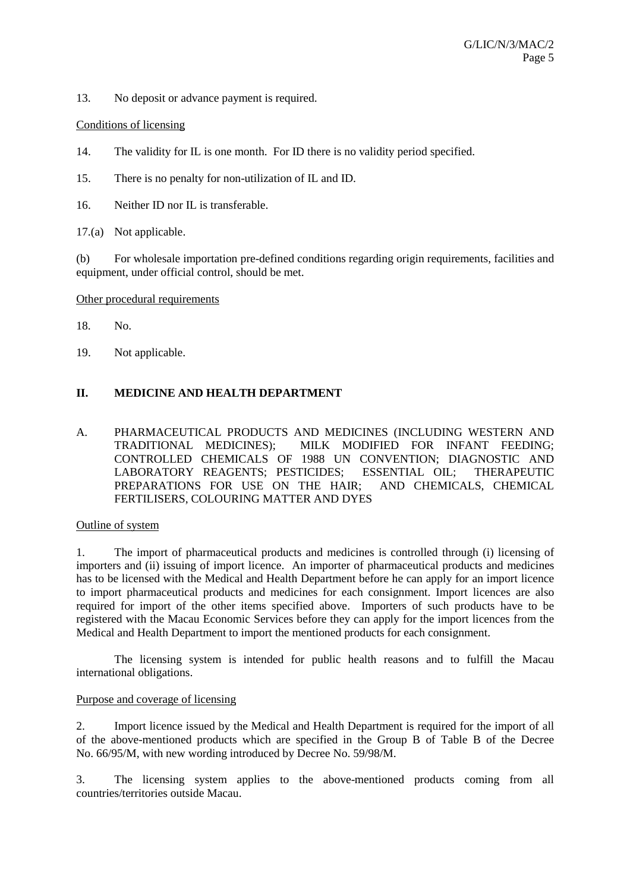13. No deposit or advance payment is required.

Conditions of licensing

14. The validity for IL is one month. For ID there is no validity period specified.

15. There is no penalty for non-utilization of IL and ID.

16. Neither ID nor IL is transferable.

17.(a) Not applicable.

(b) For wholesale importation pre-defined conditions regarding origin requirements, facilities and equipment, under official control, should be met.

#### Other procedural requirements

18. No.

19. Not applicable.

## **II. MEDICINE AND HEALTH DEPARTMENT**

A. PHARMACEUTICAL PRODUCTS AND MEDICINES (INCLUDING WESTERN AND TRADITIONAL MEDICINES); MILK MODIFIED FOR INFANT FEEDING; CONTROLLED CHEMICALS OF 1988 UN CONVENTION; DIAGNOSTIC AND LABORATORY REAGENTS; PESTICIDES; ESSENTIAL OIL; THERAPEUTIC PREPARATIONS FOR USE ON THE HAIR; AND CHEMICALS, CHEMICAL FERTILISERS, COLOURING MATTER AND DYES

Outline of system

1. The import of pharmaceutical products and medicines is controlled through (i) licensing of importers and (ii) issuing of import licence. An importer of pharmaceutical products and medicines has to be licensed with the Medical and Health Department before he can apply for an import licence to import pharmaceutical products and medicines for each consignment. Import licences are also required for import of the other items specified above. Importers of such products have to be registered with the Macau Economic Services before they can apply for the import licences from the Medical and Health Department to import the mentioned products for each consignment.

The licensing system is intended for public health reasons and to fulfill the Macau international obligations.

#### Purpose and coverage of licensing

2. Import licence issued by the Medical and Health Department is required for the import of all of the above-mentioned products which are specified in the Group B of Table B of the Decree No. 66/95/M, with new wording introduced by Decree No. 59/98/M.

3. The licensing system applies to the above-mentioned products coming from all countries/territories outside Macau.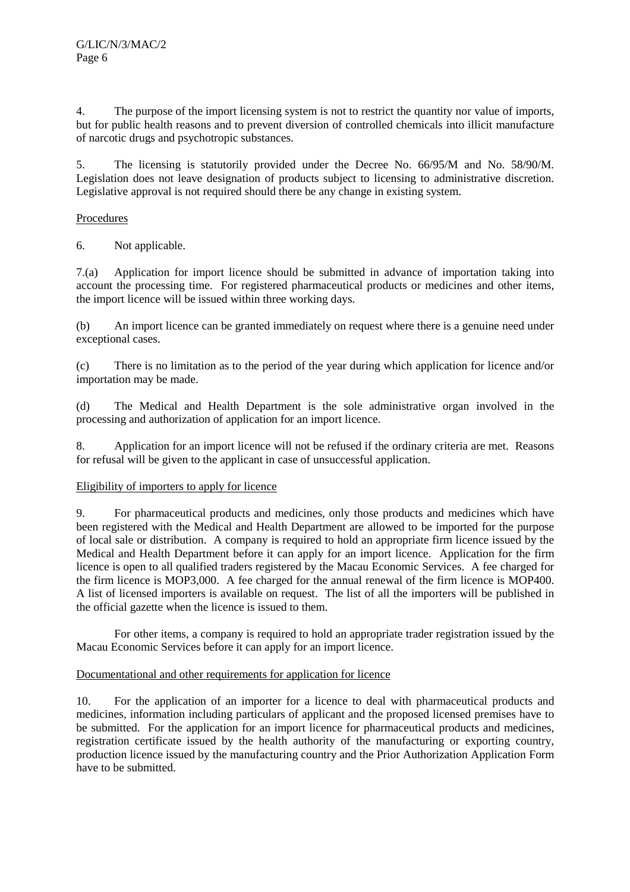4. The purpose of the import licensing system is not to restrict the quantity nor value of imports, but for public health reasons and to prevent diversion of controlled chemicals into illicit manufacture of narcotic drugs and psychotropic substances.

5. The licensing is statutorily provided under the Decree No. 66/95/M and No. 58/90/M. Legislation does not leave designation of products subject to licensing to administrative discretion. Legislative approval is not required should there be any change in existing system.

## Procedures

6. Not applicable.

7.(a) Application for import licence should be submitted in advance of importation taking into account the processing time. For registered pharmaceutical products or medicines and other items, the import licence will be issued within three working days.

(b) An import licence can be granted immediately on request where there is a genuine need under exceptional cases.

(c) There is no limitation as to the period of the year during which application for licence and/or importation may be made.

(d) The Medical and Health Department is the sole administrative organ involved in the processing and authorization of application for an import licence.

8. Application for an import licence will not be refused if the ordinary criteria are met. Reasons for refusal will be given to the applicant in case of unsuccessful application.

#### Eligibility of importers to apply for licence

9. For pharmaceutical products and medicines, only those products and medicines which have been registered with the Medical and Health Department are allowed to be imported for the purpose of local sale or distribution. A company is required to hold an appropriate firm licence issued by the Medical and Health Department before it can apply for an import licence. Application for the firm licence is open to all qualified traders registered by the Macau Economic Services. A fee charged for the firm licence is MOP3,000. A fee charged for the annual renewal of the firm licence is MOP400. A list of licensed importers is available on request. The list of all the importers will be published in the official gazette when the licence is issued to them.

For other items, a company is required to hold an appropriate trader registration issued by the Macau Economic Services before it can apply for an import licence.

#### Documentational and other requirements for application for licence

10. For the application of an importer for a licence to deal with pharmaceutical products and medicines, information including particulars of applicant and the proposed licensed premises have to be submitted. For the application for an import licence for pharmaceutical products and medicines, registration certificate issued by the health authority of the manufacturing or exporting country, production licence issued by the manufacturing country and the Prior Authorization Application Form have to be submitted.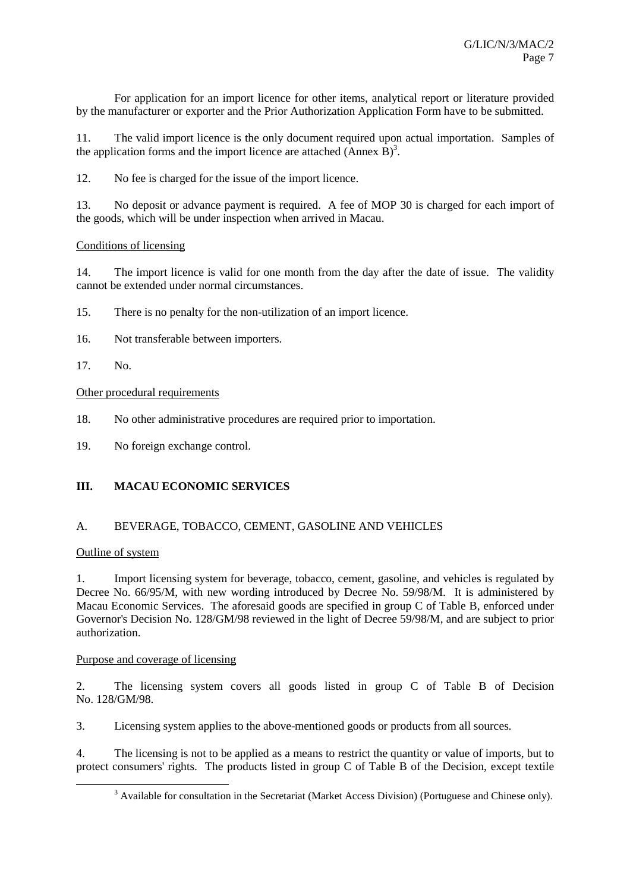For application for an import licence for other items, analytical report or literature provided by the manufacturer or exporter and the Prior Authorization Application Form have to be submitted.

11. The valid import licence is the only document required upon actual importation. Samples of the application forms and the import licence are attached  $(\overrightarrow{Annex B})^3$ .

12. No fee is charged for the issue of the import licence.

13. No deposit or advance payment is required. A fee of MOP 30 is charged for each import of the goods, which will be under inspection when arrived in Macau.

## Conditions of licensing

14. The import licence is valid for one month from the day after the date of issue. The validity cannot be extended under normal circumstances.

- 15. There is no penalty for the non-utilization of an import licence.
- 16. Not transferable between importers.
- 17. No.

## Other procedural requirements

- 18. No other administrative procedures are required prior to importation.
- 19. No foreign exchange control.

## **III. MACAU ECONOMIC SERVICES**

## A. BEVERAGE, TOBACCO, CEMENT, GASOLINE AND VEHICLES

## Outline of system

1. Import licensing system for beverage, tobacco, cement, gasoline, and vehicles is regulated by Decree No. 66/95/M, with new wording introduced by Decree No. 59/98/M. It is administered by Macau Economic Services. The aforesaid goods are specified in group C of Table B, enforced under Governor's Decision No. 128/GM/98 reviewed in the light of Decree 59/98/M, and are subject to prior authorization.

#### Purpose and coverage of licensing

2. The licensing system covers all goods listed in group C of Table B of Decision No. 128/GM/98.

3. Licensing system applies to the above-mentioned goods or products from all sources.

4. The licensing is not to be applied as a means to restrict the quantity or value of imports, but to protect consumers' rights. The products listed in group C of Table B of the Decision, except textile

 <sup>3</sup>  $3$  Available for consultation in the Secretariat (Market Access Division) (Portuguese and Chinese only).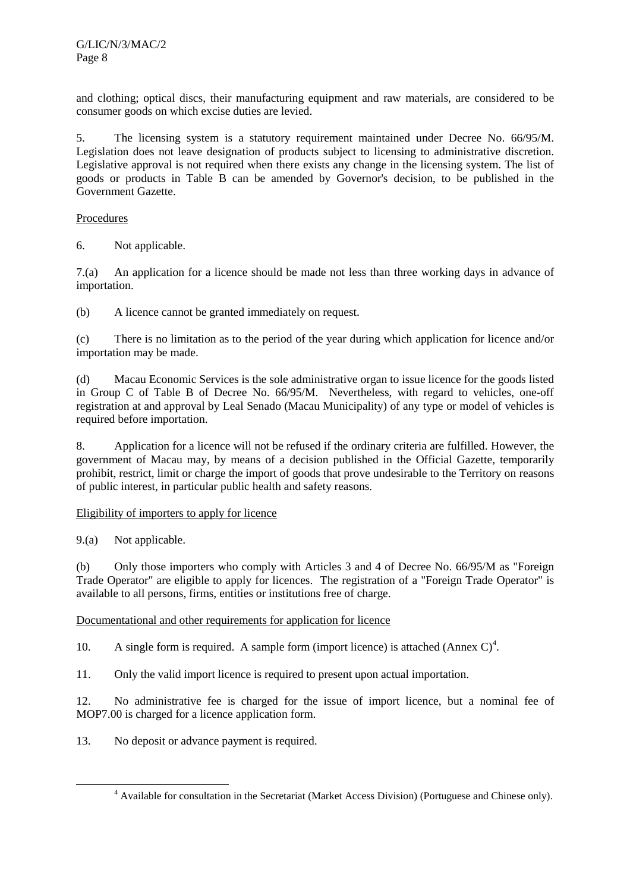and clothing; optical discs, their manufacturing equipment and raw materials, are considered to be consumer goods on which excise duties are levied.

5. The licensing system is a statutory requirement maintained under Decree No. 66/95/M. Legislation does not leave designation of products subject to licensing to administrative discretion. Legislative approval is not required when there exists any change in the licensing system. The list of goods or products in Table B can be amended by Governor's decision, to be published in the Government Gazette.

#### Procedures

6. Not applicable.

7.(a) An application for a licence should be made not less than three working days in advance of importation.

(b) A licence cannot be granted immediately on request.

(c) There is no limitation as to the period of the year during which application for licence and/or importation may be made.

(d) Macau Economic Services is the sole administrative organ to issue licence for the goods listed in Group C of Table B of Decree No. 66/95/M. Nevertheless, with regard to vehicles, one-off registration at and approval by Leal Senado (Macau Municipality) of any type or model of vehicles is required before importation.

8. Application for a licence will not be refused if the ordinary criteria are fulfilled. However, the government of Macau may, by means of a decision published in the Official Gazette, temporarily prohibit, restrict, limit or charge the import of goods that prove undesirable to the Territory on reasons of public interest, in particular public health and safety reasons.

## Eligibility of importers to apply for licence

9.(a) Not applicable.

(b) Only those importers who comply with Articles 3 and 4 of Decree No. 66/95/M as "Foreign Trade Operator" are eligible to apply for licences. The registration of a "Foreign Trade Operator" is available to all persons, firms, entities or institutions free of charge.

Documentational and other requirements for application for licence

10. A single form is required. A sample form (import licence) is attached (Annex  $C$ )<sup>4</sup>.

11. Only the valid import licence is required to present upon actual importation.

12. No administrative fee is charged for the issue of import licence, but a nominal fee of MOP7.00 is charged for a licence application form.

13. No deposit or advance payment is required.

 $\overline{a}$ Available for consultation in the Secretariat (Market Access Division) (Portuguese and Chinese only).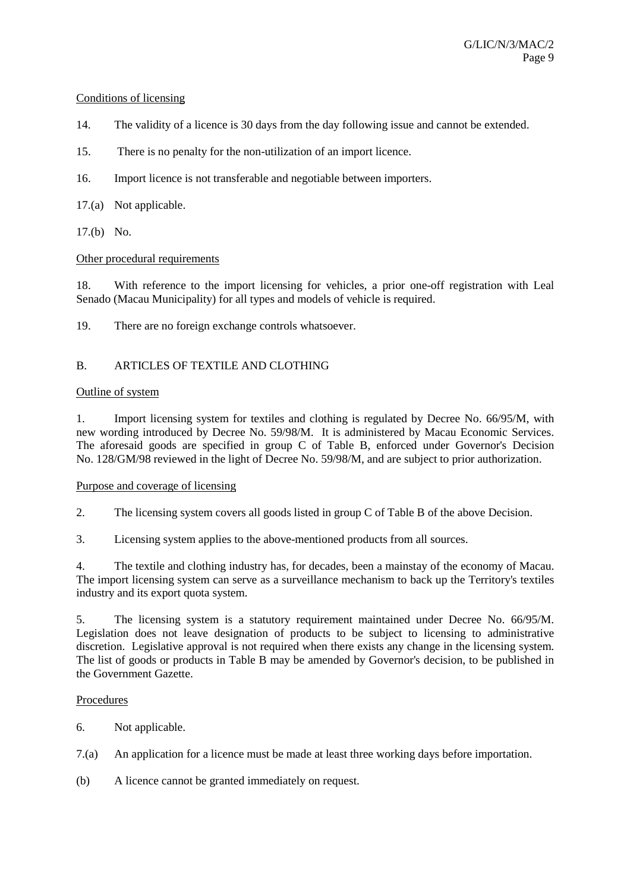#### Conditions of licensing

- 14. The validity of a licence is 30 days from the day following issue and cannot be extended.
- 15. There is no penalty for the non-utilization of an import licence.
- 16. Import licence is not transferable and negotiable between importers.
- 17.(a) Not applicable.
- 17.(b) No.

## Other procedural requirements

18. With reference to the import licensing for vehicles, a prior one-off registration with Leal Senado (Macau Municipality) for all types and models of vehicle is required.

19. There are no foreign exchange controls whatsoever.

## B. ARTICLES OF TEXTILE AND CLOTHING

#### Outline of system

1. Import licensing system for textiles and clothing is regulated by Decree No. 66/95/M, with new wording introduced by Decree No. 59/98/M. It is administered by Macau Economic Services. The aforesaid goods are specified in group C of Table B, enforced under Governor's Decision No. 128/GM/98 reviewed in the light of Decree No. 59/98/M, and are subject to prior authorization.

#### Purpose and coverage of licensing

- 2. The licensing system covers all goods listed in group C of Table B of the above Decision.
- 3. Licensing system applies to the above-mentioned products from all sources.

4. The textile and clothing industry has, for decades, been a mainstay of the economy of Macau. The import licensing system can serve as a surveillance mechanism to back up the Territory's textiles industry and its export quota system.

5. The licensing system is a statutory requirement maintained under Decree No. 66/95/M. Legislation does not leave designation of products to be subject to licensing to administrative discretion. Legislative approval is not required when there exists any change in the licensing system. The list of goods or products in Table B may be amended by Governor's decision, to be published in the Government Gazette.

#### Procedures

- 6. Not applicable.
- 7.(a) An application for a licence must be made at least three working days before importation.
- (b) A licence cannot be granted immediately on request.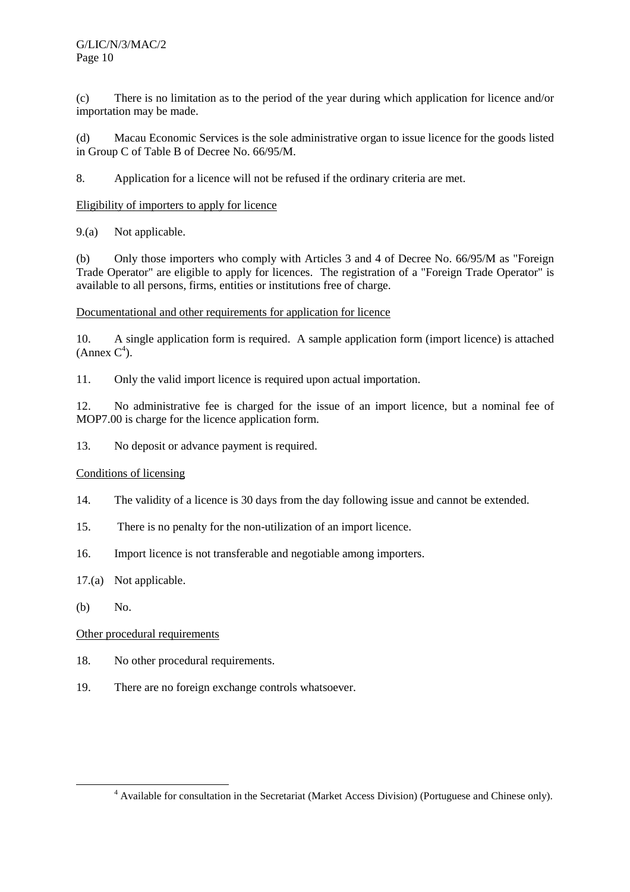(c) There is no limitation as to the period of the year during which application for licence and/or importation may be made.

(d) Macau Economic Services is the sole administrative organ to issue licence for the goods listed in Group C of Table B of Decree No. 66/95/M.

8. Application for a licence will not be refused if the ordinary criteria are met.

## Eligibility of importers to apply for licence

9.(a) Not applicable.

(b) Only those importers who comply with Articles 3 and 4 of Decree No. 66/95/M as "Foreign Trade Operator" are eligible to apply for licences. The registration of a "Foreign Trade Operator" is available to all persons, firms, entities or institutions free of charge.

Documentational and other requirements for application for licence

10. A single application form is required. A sample application form (import licence) is attached  $(Annex C<sup>4</sup>).$ 

11. Only the valid import licence is required upon actual importation.

12. No administrative fee is charged for the issue of an import licence, but a nominal fee of MOP7.00 is charge for the licence application form.

13. No deposit or advance payment is required.

#### Conditions of licensing

- 14. The validity of a licence is 30 days from the day following issue and cannot be extended.
- 15. There is no penalty for the non-utilization of an import licence.
- 16. Import licence is not transferable and negotiable among importers.
- 17.(a) Not applicable.
- (b) No.

- 18. No other procedural requirements.
- 19. There are no foreign exchange controls whatsoever.

 $\overline{a}$ Available for consultation in the Secretariat (Market Access Division) (Portuguese and Chinese only).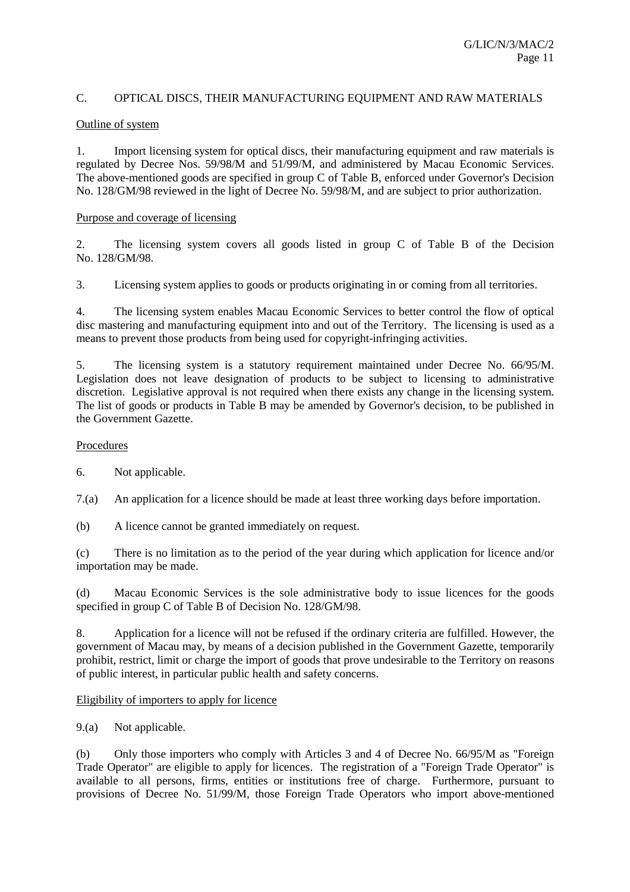## C. OPTICAL DISCS, THEIR MANUFACTURING EQUIPMENT AND RAW MATERIALS

#### Outline of system

1. Import licensing system for optical discs, their manufacturing equipment and raw materials is regulated by Decree Nos. 59/98/M and 51/99/M, and administered by Macau Economic Services. The above-mentioned goods are specified in group C of Table B, enforced under Governor's Decision No. 128/GM/98 reviewed in the light of Decree No. 59/98/M, and are subject to prior authorization.

#### Purpose and coverage of licensing

2. The licensing system covers all goods listed in group C of Table B of the Decision No. 128/GM/98.

3. Licensing system applies to goods or products originating in or coming from all territories.

4. The licensing system enables Macau Economic Services to better control the flow of optical disc mastering and manufacturing equipment into and out of the Territory. The licensing is used as a means to prevent those products from being used for copyright-infringing activities.

5. The licensing system is a statutory requirement maintained under Decree No. 66/95/M. Legislation does not leave designation of products to be subject to licensing to administrative discretion. Legislative approval is not required when there exists any change in the licensing system. The list of goods or products in Table B may be amended by Governor's decision, to be published in the Government Gazette.

## Procedures

6. Not applicable.

7.(a) An application for a licence should be made at least three working days before importation.

(b) A licence cannot be granted immediately on request.

(c) There is no limitation as to the period of the year during which application for licence and/or importation may be made.

(d) Macau Economic Services is the sole administrative body to issue licences for the goods specified in group C of Table B of Decision No. 128/GM/98.

8. Application for a licence will not be refused if the ordinary criteria are fulfilled. However, the government of Macau may, by means of a decision published in the Government Gazette, temporarily prohibit, restrict, limit or charge the import of goods that prove undesirable to the Territory on reasons of public interest, in particular public health and safety concerns.

#### Eligibility of importers to apply for licence

9.(a) Not applicable.

(b) Only those importers who comply with Articles 3 and 4 of Decree No. 66/95/M as "Foreign Trade Operator" are eligible to apply for licences. The registration of a "Foreign Trade Operator" is available to all persons, firms, entities or institutions free of charge. Furthermore, pursuant to provisions of Decree No. 51/99/M, those Foreign Trade Operators who import above-mentioned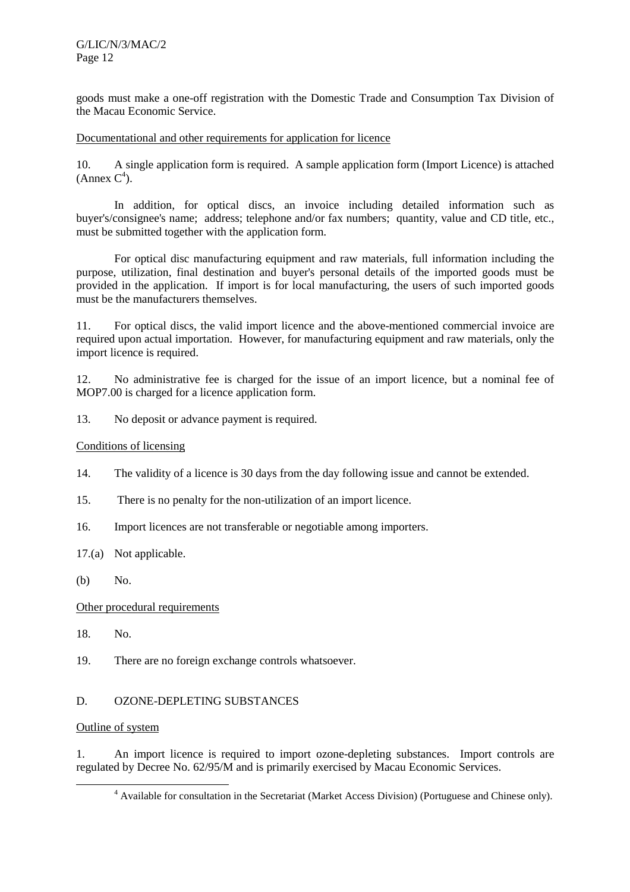G/LIC/N/3/MAC/2 Page 12

goods must make a one-off registration with the Domestic Trade and Consumption Tax Division of the Macau Economic Service.

Documentational and other requirements for application for licence

10. A single application form is required. A sample application form (Import Licence) is attached  $(Annex C<sup>4</sup>).$ 

In addition, for optical discs, an invoice including detailed information such as buyer's/consignee's name; address; telephone and/or fax numbers; quantity, value and CD title, etc., must be submitted together with the application form.

For optical disc manufacturing equipment and raw materials, full information including the purpose, utilization, final destination and buyer's personal details of the imported goods must be provided in the application. If import is for local manufacturing, the users of such imported goods must be the manufacturers themselves.

11. For optical discs, the valid import licence and the above-mentioned commercial invoice are required upon actual importation. However, for manufacturing equipment and raw materials, only the import licence is required.

12. No administrative fee is charged for the issue of an import licence, but a nominal fee of MOP7.00 is charged for a licence application form.

13. No deposit or advance payment is required.

#### Conditions of licensing

- 14. The validity of a licence is 30 days from the day following issue and cannot be extended.
- 15. There is no penalty for the non-utilization of an import licence.
- 16. Import licences are not transferable or negotiable among importers.
- 17.(a) Not applicable.
- (b) No.

#### Other procedural requirements

- 18. No.
- 19. There are no foreign exchange controls whatsoever.

#### D. OZONE-DEPLETING SUBSTANCES

### Outline of system

1. An import licence is required to import ozone-depleting substances. Import controls are regulated by Decree No. 62/95/M and is primarily exercised by Macau Economic Services.

 $\overline{a}$ <sup>4</sup> Available for consultation in the Secretariat (Market Access Division) (Portuguese and Chinese only).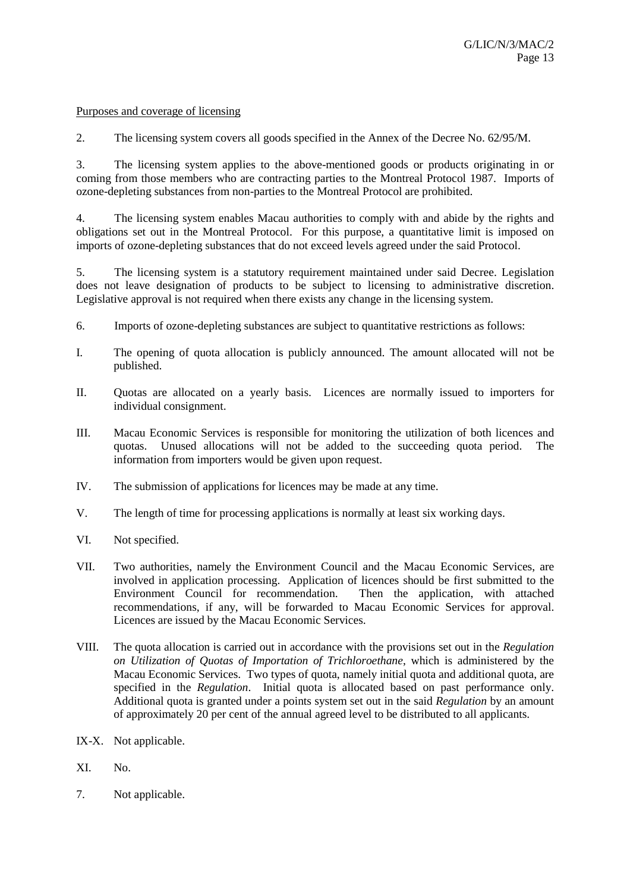#### Purposes and coverage of licensing

2. The licensing system covers all goods specified in the Annex of the Decree No. 62/95/M.

3. The licensing system applies to the above-mentioned goods or products originating in or coming from those members who are contracting parties to the Montreal Protocol 1987. Imports of ozone-depleting substances from non-parties to the Montreal Protocol are prohibited.

4. The licensing system enables Macau authorities to comply with and abide by the rights and obligations set out in the Montreal Protocol. For this purpose, a quantitative limit is imposed on imports of ozone-depleting substances that do not exceed levels agreed under the said Protocol.

5. The licensing system is a statutory requirement maintained under said Decree. Legislation does not leave designation of products to be subject to licensing to administrative discretion. Legislative approval is not required when there exists any change in the licensing system.

- 6. Imports of ozone-depleting substances are subject to quantitative restrictions as follows:
- I. The opening of quota allocation is publicly announced. The amount allocated will not be published.
- II. Quotas are allocated on a yearly basis. Licences are normally issued to importers for individual consignment.
- III. Macau Economic Services is responsible for monitoring the utilization of both licences and quotas. Unused allocations will not be added to the succeeding quota period. The information from importers would be given upon request.
- IV. The submission of applications for licences may be made at any time.
- V. The length of time for processing applications is normally at least six working days.
- VI. Not specified.
- VII. Two authorities, namely the Environment Council and the Macau Economic Services, are involved in application processing. Application of licences should be first submitted to the Environment Council for recommendation. Then the application, with attached recommendations, if any, will be forwarded to Macau Economic Services for approval. Licences are issued by the Macau Economic Services.
- VIII. The quota allocation is carried out in accordance with the provisions set out in the *Regulation on Utilization of Quotas of Importation of Trichloroethane*, which is administered by the Macau Economic Services. Two types of quota, namely initial quota and additional quota, are specified in the *Regulation*. Initial quota is allocated based on past performance only. Additional quota is granted under a points system set out in the said *Regulation* by an amount of approximately 20 per cent of the annual agreed level to be distributed to all applicants.
- IX-X. Not applicable.
- XI. No.
- 7. Not applicable.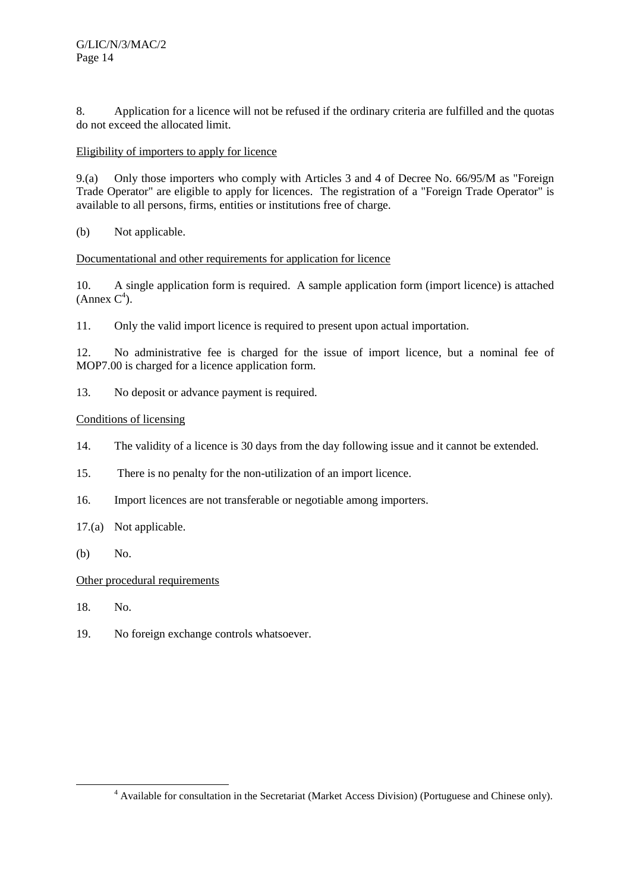8. Application for a licence will not be refused if the ordinary criteria are fulfilled and the quotas do not exceed the allocated limit.

## Eligibility of importers to apply for licence

9.(a) Only those importers who comply with Articles 3 and 4 of Decree No. 66/95/M as "Foreign Trade Operator" are eligible to apply for licences. The registration of a "Foreign Trade Operator" is available to all persons, firms, entities or institutions free of charge.

(b) Not applicable.

## Documentational and other requirements for application for licence

10. A single application form is required. A sample application form (import licence) is attached  $(Annex C<sup>4</sup>).$ 

11. Only the valid import licence is required to present upon actual importation.

12. No administrative fee is charged for the issue of import licence, but a nominal fee of MOP7.00 is charged for a licence application form.

13. No deposit or advance payment is required.

## Conditions of licensing

- 14. The validity of a licence is 30 days from the day following issue and it cannot be extended.
- 15. There is no penalty for the non-utilization of an import licence.
- 16. Import licences are not transferable or negotiable among importers.
- 17.(a) Not applicable.
- (b) No.

- 18. No.
- 19. No foreign exchange controls whatsoever.

 $\overline{a}$ Available for consultation in the Secretariat (Market Access Division) (Portuguese and Chinese only).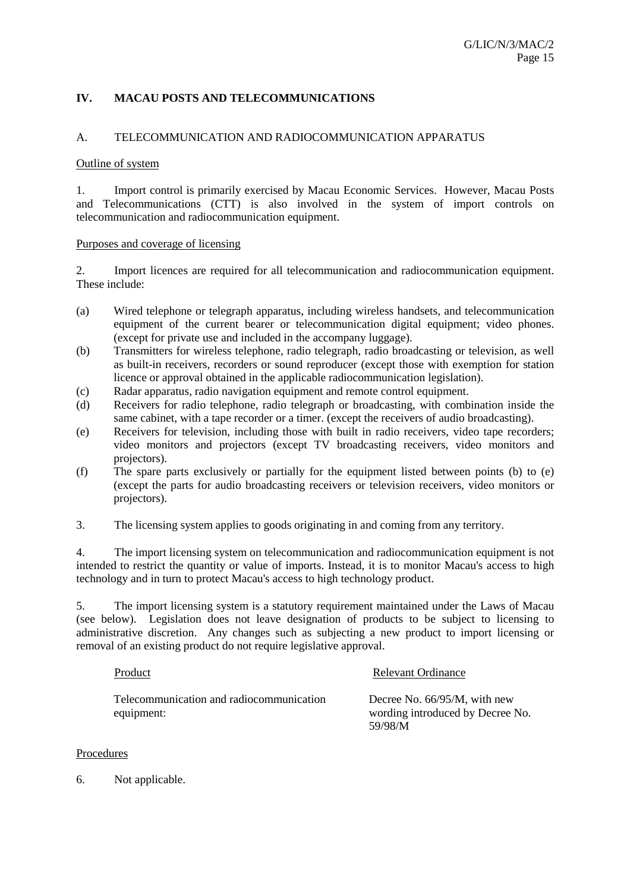## **IV. MACAU POSTS AND TELECOMMUNICATIONS**

#### A. TELECOMMUNICATION AND RADIOCOMMUNICATION APPARATUS

#### Outline of system

1. Import control is primarily exercised by Macau Economic Services. However, Macau Posts and Telecommunications (CTT) is also involved in the system of import controls on telecommunication and radiocommunication equipment.

#### Purposes and coverage of licensing

2. Import licences are required for all telecommunication and radiocommunication equipment. These include:

- (a) Wired telephone or telegraph apparatus, including wireless handsets, and telecommunication equipment of the current bearer or telecommunication digital equipment; video phones. (except for private use and included in the accompany luggage).
- (b) Transmitters for wireless telephone, radio telegraph, radio broadcasting or television, as well as built-in receivers, recorders or sound reproducer (except those with exemption for station licence or approval obtained in the applicable radiocommunication legislation).
- (c) Radar apparatus, radio navigation equipment and remote control equipment.
- (d) Receivers for radio telephone, radio telegraph or broadcasting, with combination inside the same cabinet, with a tape recorder or a timer. (except the receivers of audio broadcasting).
- (e) Receivers for television, including those with built in radio receivers, video tape recorders; video monitors and projectors (except TV broadcasting receivers, video monitors and projectors).
- (f) The spare parts exclusively or partially for the equipment listed between points (b) to (e) (except the parts for audio broadcasting receivers or television receivers, video monitors or projectors).
- 3. The licensing system applies to goods originating in and coming from any territory.

4. The import licensing system on telecommunication and radiocommunication equipment is not intended to restrict the quantity or value of imports. Instead, it is to monitor Macau's access to high technology and in turn to protect Macau's access to high technology product.

5. The import licensing system is a statutory requirement maintained under the Laws of Macau (see below). Legislation does not leave designation of products to be subject to licensing to administrative discretion. Any changes such as subjecting a new product to import licensing or removal of an existing product do not require legislative approval.

| Product                                                | Relevant Ordinance                                                             |
|--------------------------------------------------------|--------------------------------------------------------------------------------|
| Telecommunication and radiocommunication<br>equipment: | Decree No. $66/95/M$ , with new<br>wording introduced by Decree No.<br>59/98/M |

#### Procedures

6. Not applicable.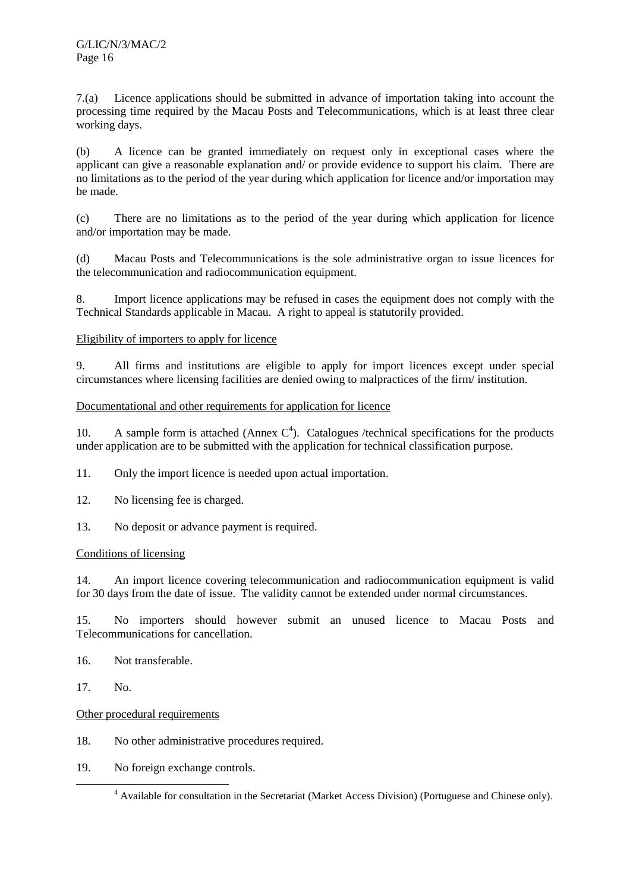7.(a) Licence applications should be submitted in advance of importation taking into account the processing time required by the Macau Posts and Telecommunications, which is at least three clear working days.

(b) A licence can be granted immediately on request only in exceptional cases where the applicant can give a reasonable explanation and/ or provide evidence to support his claim. There are no limitations as to the period of the year during which application for licence and/or importation may be made.

(c) There are no limitations as to the period of the year during which application for licence and/or importation may be made.

(d) Macau Posts and Telecommunications is the sole administrative organ to issue licences for the telecommunication and radiocommunication equipment.

8. Import licence applications may be refused in cases the equipment does not comply with the Technical Standards applicable in Macau. A right to appeal is statutorily provided.

## Eligibility of importers to apply for licence

9. All firms and institutions are eligible to apply for import licences except under special circumstances where licensing facilities are denied owing to malpractices of the firm/ institution.

## Documentational and other requirements for application for licence

10. A sample form is attached (Annex  $C<sup>4</sup>$ ). Catalogues /technical specifications for the products under application are to be submitted with the application for technical classification purpose.

11. Only the import licence is needed upon actual importation.

- 12. No licensing fee is charged.
- 13. No deposit or advance payment is required.

#### Conditions of licensing

14. An import licence covering telecommunication and radiocommunication equipment is valid for 30 days from the date of issue. The validity cannot be extended under normal circumstances.

15. No importers should however submit an unused licence to Macau Posts and Telecommunications for cancellation.

16. Not transferable.

17. No.

- 18. No other administrative procedures required.
- 19. No foreign exchange controls.

 $\overline{a}$ <sup>4</sup> Available for consultation in the Secretariat (Market Access Division) (Portuguese and Chinese only).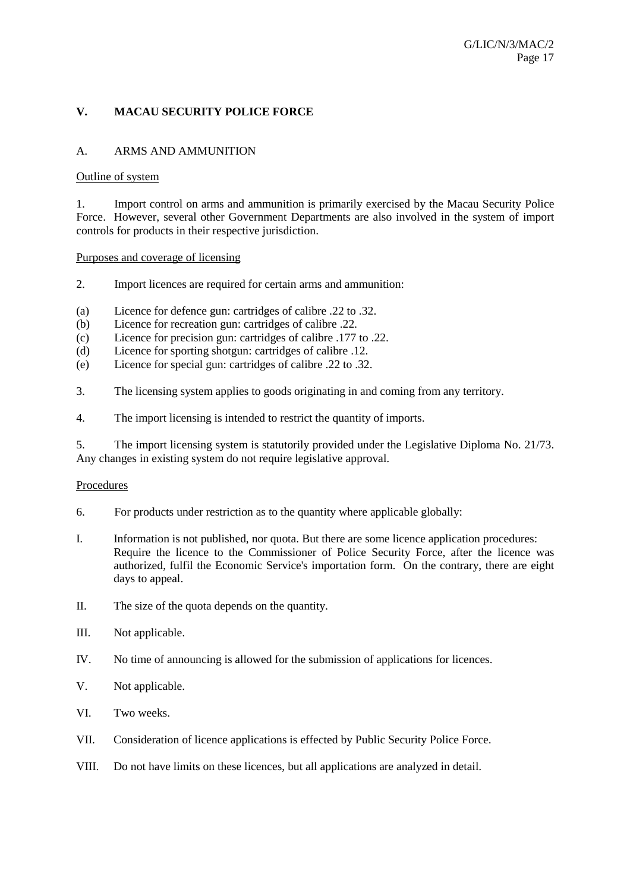## **V. MACAU SECURITY POLICE FORCE**

## A. ARMS AND AMMUNITION

#### Outline of system

1. Import control on arms and ammunition is primarily exercised by the Macau Security Police Force. However, several other Government Departments are also involved in the system of import controls for products in their respective jurisdiction.

#### Purposes and coverage of licensing

- 2. Import licences are required for certain arms and ammunition:
- (a) Licence for defence gun: cartridges of calibre .22 to .32.
- (b) Licence for recreation gun: cartridges of calibre .22.
- (c) Licence for precision gun: cartridges of calibre .177 to .22.
- (d) Licence for sporting shotgun: cartridges of calibre .12.
- (e) Licence for special gun: cartridges of calibre .22 to .32.
- 3. The licensing system applies to goods originating in and coming from any territory.
- 4. The import licensing is intended to restrict the quantity of imports.

5. The import licensing system is statutorily provided under the Legislative Diploma No. 21/73. Any changes in existing system do not require legislative approval.

#### Procedures

- 6. For products under restriction as to the quantity where applicable globally:
- I. Information is not published, nor quota. But there are some licence application procedures: Require the licence to the Commissioner of Police Security Force, after the licence was authorized, fulfil the Economic Service's importation form. On the contrary, there are eight days to appeal.
- II. The size of the quota depends on the quantity.
- III. Not applicable.
- IV. No time of announcing is allowed for the submission of applications for licences.
- V. Not applicable.
- VI. Two weeks.
- VII. Consideration of licence applications is effected by Public Security Police Force.
- VIII. Do not have limits on these licences, but all applications are analyzed in detail.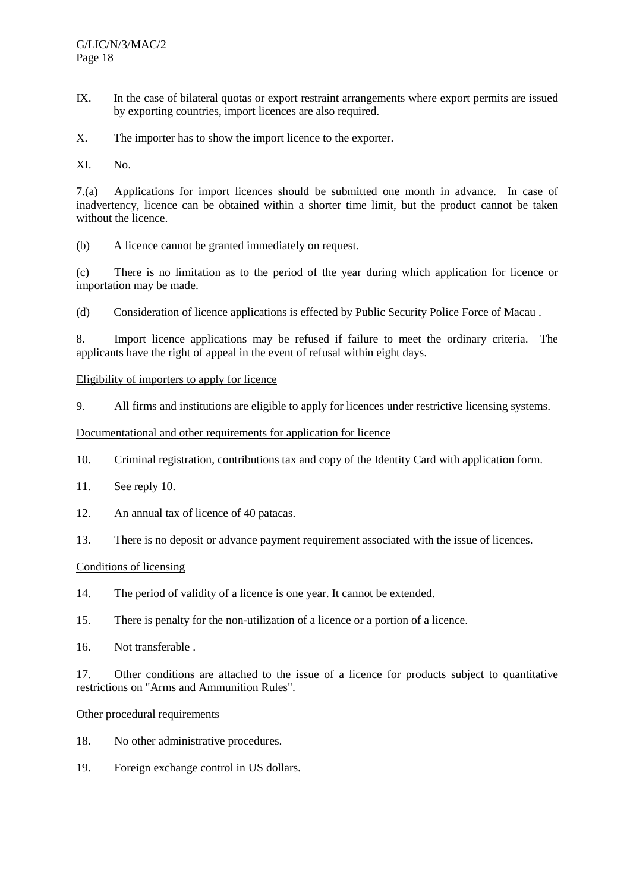- IX. In the case of bilateral quotas or export restraint arrangements where export permits are issued by exporting countries, import licences are also required.
- X. The importer has to show the import licence to the exporter.

XI. No.

7.(a) Applications for import licences should be submitted one month in advance. In case of inadvertency, licence can be obtained within a shorter time limit, but the product cannot be taken without the licence.

(b) A licence cannot be granted immediately on request.

(c) There is no limitation as to the period of the year during which application for licence or importation may be made.

(d) Consideration of licence applications is effected by Public Security Police Force of Macau .

8. Import licence applications may be refused if failure to meet the ordinary criteria. The applicants have the right of appeal in the event of refusal within eight days.

#### Eligibility of importers to apply for licence

9. All firms and institutions are eligible to apply for licences under restrictive licensing systems.

#### Documentational and other requirements for application for licence

- 10. Criminal registration, contributions tax and copy of the Identity Card with application form.
- 11. See reply 10.
- 12. An annual tax of licence of 40 patacas.
- 13. There is no deposit or advance payment requirement associated with the issue of licences.

#### Conditions of licensing

- 14. The period of validity of a licence is one year. It cannot be extended.
- 15. There is penalty for the non-utilization of a licence or a portion of a licence.
- 16. Not transferable .

17. Other conditions are attached to the issue of a licence for products subject to quantitative restrictions on "Arms and Ammunition Rules".

- 18. No other administrative procedures.
- 19. Foreign exchange control in US dollars.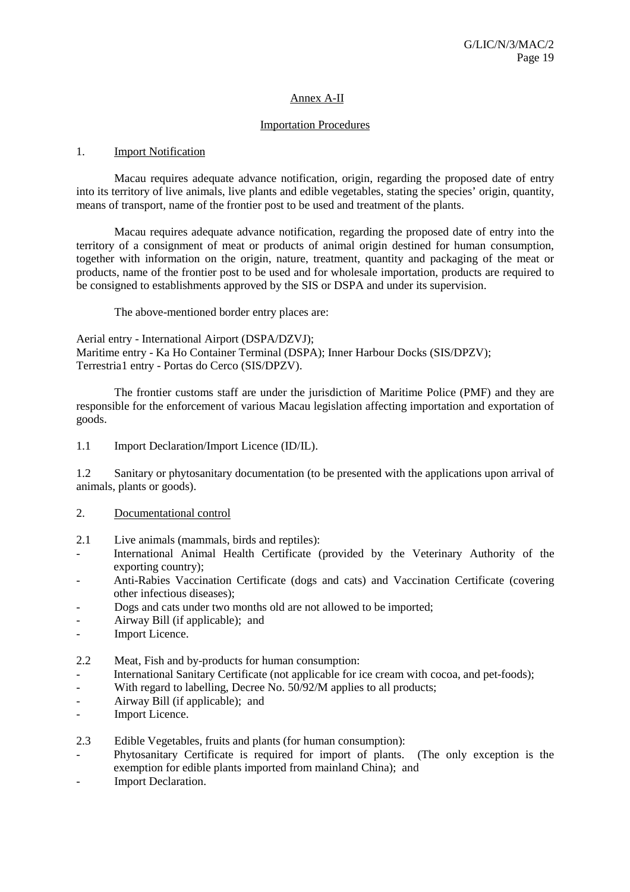## Annex A-II

## Importation Procedures

#### 1. Import Notification

Macau requires adequate advance notification, origin, regarding the proposed date of entry into its territory of live animals, live plants and edible vegetables, stating the species' origin, quantity, means of transport, name of the frontier post to be used and treatment of the plants.

Macau requires adequate advance notification, regarding the proposed date of entry into the territory of a consignment of meat or products of animal origin destined for human consumption, together with information on the origin, nature, treatment, quantity and packaging of the meat or products, name of the frontier post to be used and for wholesale importation, products are required to be consigned to establishments approved by the SIS or DSPA and under its supervision.

The above-mentioned border entry places are:

Aerial entry - International Airport (DSPA/DZVJ); Maritime entry - Ka Ho Container Terminal (DSPA); Inner Harbour Docks (SIS/DPZV); Terrestria1 entry - Portas do Cerco (SIS/DPZV).

The frontier customs staff are under the jurisdiction of Maritime Police (PMF) and they are responsible for the enforcement of various Macau legislation affecting importation and exportation of goods.

1.1 Import Declaration/Import Licence (ID/IL).

1.2 Sanitary or phytosanitary documentation (to be presented with the applications upon arrival of animals, plants or goods).

#### 2. Documentational control

- 2.1 Live animals (mammals, birds and reptiles):
- International Animal Health Certificate (provided by the Veterinary Authority of the exporting country);
- Anti-Rabies Vaccination Certificate (dogs and cats) and Vaccination Certificate (covering other infectious diseases);
- Dogs and cats under two months old are not allowed to be imported;
- Airway Bill (if applicable); and
- Import Licence.
- 2.2 Meat, Fish and by-products for human consumption:
- International Sanitary Certificate (not applicable for ice cream with cocoa, and pet-foods);
- With regard to labelling, Decree No. 50/92/M applies to all products;
- Airway Bill (if applicable); and
- Import Licence.

2.3 Edible Vegetables, fruits and plants (for human consumption):

- Phytosanitary Certificate is required for import of plants. (The only exception is the exemption for edible plants imported from mainland China); and
- Import Declaration.